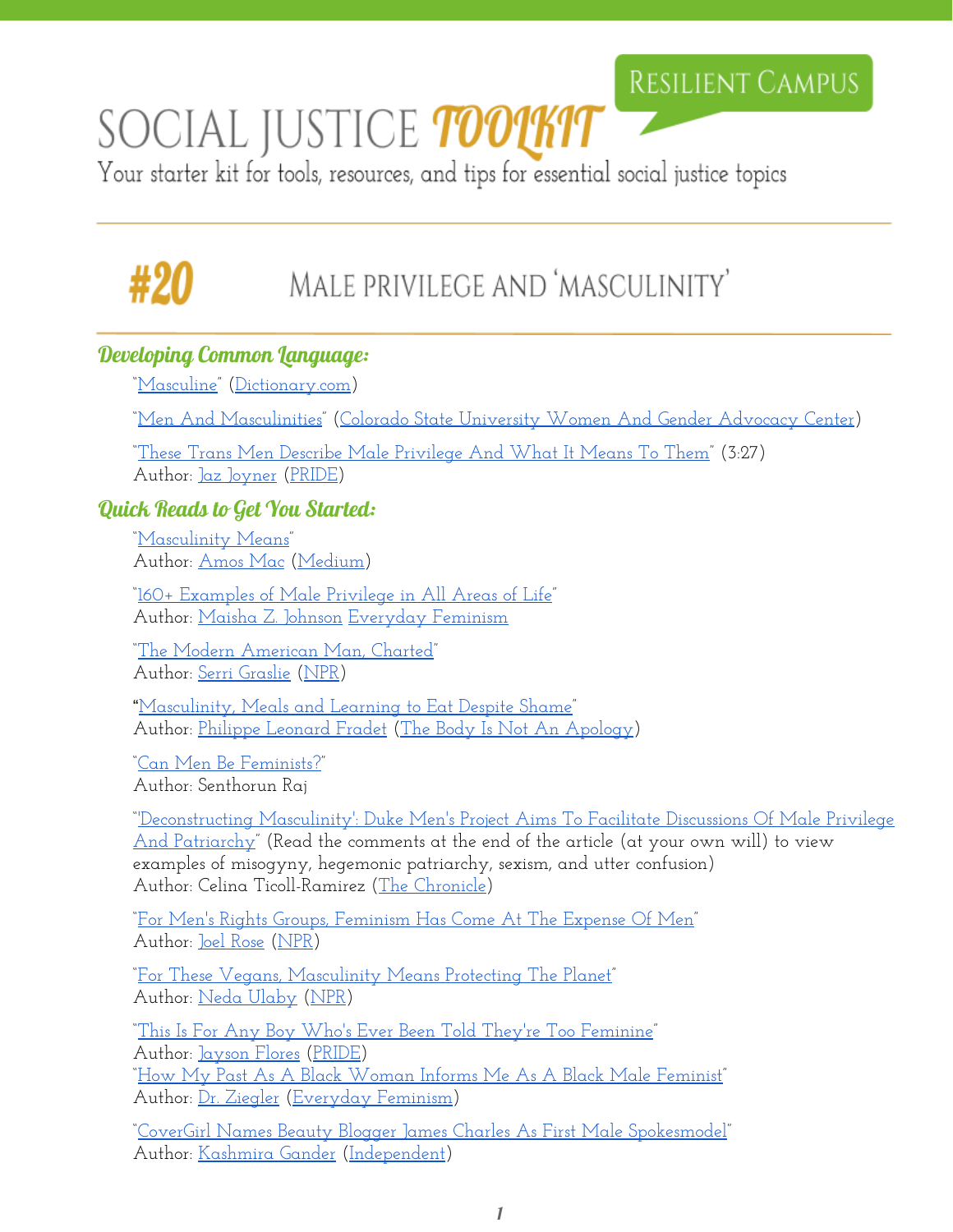# SOCIAL JUSTICE **TOOTKIT**

Your starter kit for tools, resources, and tips for essential social justice topics

## MALE PRIVILEGE AND 'MASCULINITY'

### Developing Common Language:

["Masculine"](http://www.dictionary.com/browse/masculinity?s=t) [\(Dictionary.com\)](http://www.dictionary.com/)

["Men And Masculinities"](http://www.wgac.colostate.edu/men-and-masculinities) (Colorado State [University](http://www.wgac.colostate.edu/) Women And Gender Advocacy Center)

["These Trans Men Describe](http://www.pride.com/transgender/2016/8/30/these-trans-men-discuss-male-privilege-what-it-means-them) Male Privilege And What It Means To Them" (3:27) Author: [Jaz Joyner](http://www.pride.com/authors/jaz-joyner) [\(PRIDE\)](http://www.pride.com/)

### Quick Reads to Get You Started:

["Masculinity Means"](https://medium.com/matter/masculinity-means-7c11e2d976b4#.2uih153jp) Author: [Amos Mac](https://medium.com/@amosmac) [\(Medium\)](https://medium.com/)

["160+ Examples of Male](http://everydayfeminism.com/2016/02/160-examples-of-male-privilege/) Privilege in All Areas of Life" Author: [Maisha Z. Johnson](http://everydayfeminism.com/author/mjohnson/) [Everyday](http://everydayfeminism.com/) Feminism

["The Modern American](http://www.npr.org/2014/07/17/326175817/the-modern-american-man-charted) Man, Charted" Author: [Serri Graslie](http://www.npr.org/people/349277863/serri-graslie) [\(NPR\)](http://www.npr.org/series/323986426/men-in-america)

"[Masculinity, Meals and](https://thebodyisnotanapology.com/magazine/masculinity-meals-and-learning-to-eat-despite-shame/) Learning to Eat Despite Shame" Author: [Philippe Leonard](https://thebodyisnotanapology.com/magazine/author/philippe-leonard-fradet/) Fradet (The Body [Is Not An](https://thebodyisnotanapology.com/) Apology)

["Can Men Be Feminists?"](http://www.mfeminism.com/blog/can-men-be-feminists-by-senthorun-raj) Author: Senthorun Raj

["'Deconstructing Masculinity':](http://www.dukechronicle.com/article/2016/09/deconstructing-masculinity-duke-mens-project-aims-to-facilitate-discussions-of-male-privilege-and-patriarchy) Duke Men's Project Aims To Facilitate Discussions Of Male Privilege [And Patriarchy"](http://www.dukechronicle.com/article/2016/09/deconstructing-masculinity-duke-mens-project-aims-to-facilitate-discussions-of-male-privilege-and-patriarchy) (Read the comments at the end of the article (at your own will) to view examples of misogyny, hegemonic patriarchy, sexism, and utter confusion) Author: Celina Ticoll-Ramirez (The [Chronicle\)](http://www.dukechronicle.com/)

["For Men's Rights Groups, Feminism](http://www.npr.org/2014/09/02/343970601/men-s-rights-movement) Has Come At The Expense Of Men" Author: [Joel Rose](http://www.npr.org/people/159989569/joel-rose) [\(NPR\)](http://www.npr.org/series/323986426/men-in-america)

["For These Vegans, Masculinity](http://www.npr.org/sections/thesalt/2014/07/21/332329709/for-these-vegans-masculinity-means-protecting-the-planet) Means Protecting The Planet" Author: [Neda Ulaby](http://www.npr.org/people/3850482/neda-ulaby) [\(NPR\)](http://www.npr.org/series/323986426/men-in-america)

["This Is For Any Boy Who's Ever](http://www.pride.com/identities/2016/10/07/any-boy-whos-ever-been-told-theyre-too-feminine) Been Told They're Too Feminine" Author: [Jayson Flores](http://www.pride.com/authors/jayson-flores) [\(PRIDE\)](http://www.pride.com/) ["How My Past As A Black](http://everydayfeminism.com/2013/12/past-informs-black-male-feminist/) Woman Informs Me As A Black Male Feminist" Author: <u>Dr. Ziegler</u> [\(Everyday](http://everydayfeminism.com/) Feminism)

"CoverGirl Names Beauty Blogger [James Charles As First Male](http://www.independent.co.uk/life-style/fashion/covergirl-james-charles-spokemodel-beauty-blogger-first-man-a7356911.html) Spokesmodel" Author: [Kashmira Gander](http://www.independent.co.uk/author/kashmira-gander) [\(Independent\)](http://www.independent.co.uk/us)